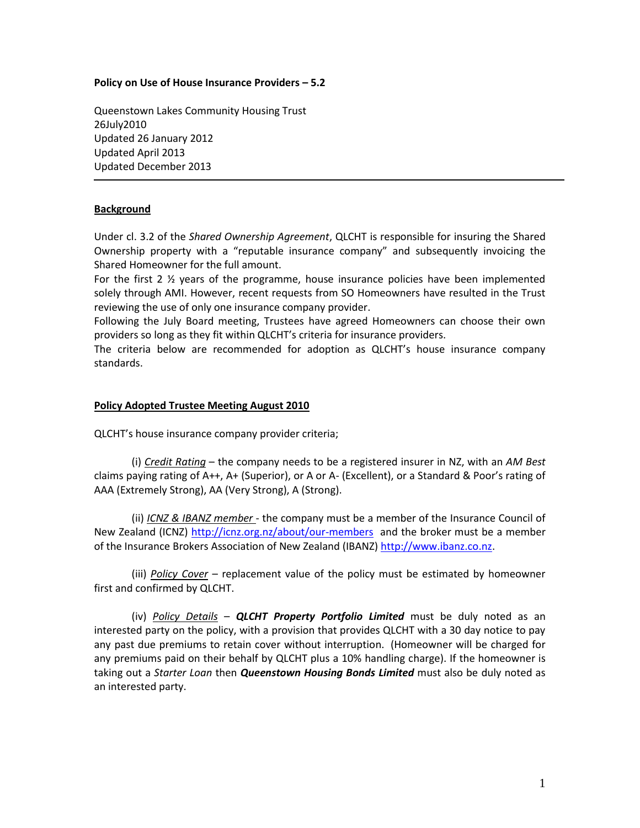#### **Policy on Use of House Insurance Providers – 5.2**

Queenstown Lakes Community Housing Trust 26July2010 Updated 26 January 2012 Updated April 2013 Updated December 2013

# **Background**

Under cl. 3.2 of the *Shared Ownership Agreement*, QLCHT is responsible for insuring the Shared Ownership property with a "reputable insurance company" and subsequently invoicing the Shared Homeowner for the full amount.

For the first 2  $\frac{1}{2}$  years of the programme, house insurance policies have been implemented solely through AMI. However, recent requests from SO Homeowners have resulted in the Trust reviewing the use of only one insurance company provider.

Following the July Board meeting, Trustees have agreed Homeowners can choose their own providers so long as they fit within QLCHT's criteria for insurance providers.

The criteria below are recommended for adoption as QLCHT's house insurance company standards.

### **Policy Adopted Trustee Meeting August 2010**

QLCHT's house insurance company provider criteria;

(i) *Credit Rating* – the company needs to be a registered insurer in NZ, with an *AM Best*  claims paying rating of A++, A+ (Superior), or A or A- (Excellent), or a Standard & Poor's rating of AAA (Extremely Strong), AA (Very Strong), A (Strong).

(ii) *ICNZ & IBANZ member* - the company must be a member of the Insurance Council of New Zealand (ICNZ)<http://icnz.org.nz/about/our-members> and the broker must be a member of the Insurance Brokers Association of New Zealand (IBANZ) [http://www.ibanz.co.nz.](http://www.ibanz.co.nz/)

(iii) *Policy Cover* – replacement value of the policy must be estimated by homeowner first and confirmed by QLCHT.

(iv) *Policy Details* – *QLCHT Property Portfolio Limited* must be duly noted as an interested party on the policy, with a provision that provides QLCHT with a 30 day notice to pay any past due premiums to retain cover without interruption. (Homeowner will be charged for any premiums paid on their behalf by QLCHT plus a 10% handling charge). If the homeowner is taking out a *Starter Loan* then *Queenstown Housing Bonds Limited* must also be duly noted as an interested party.